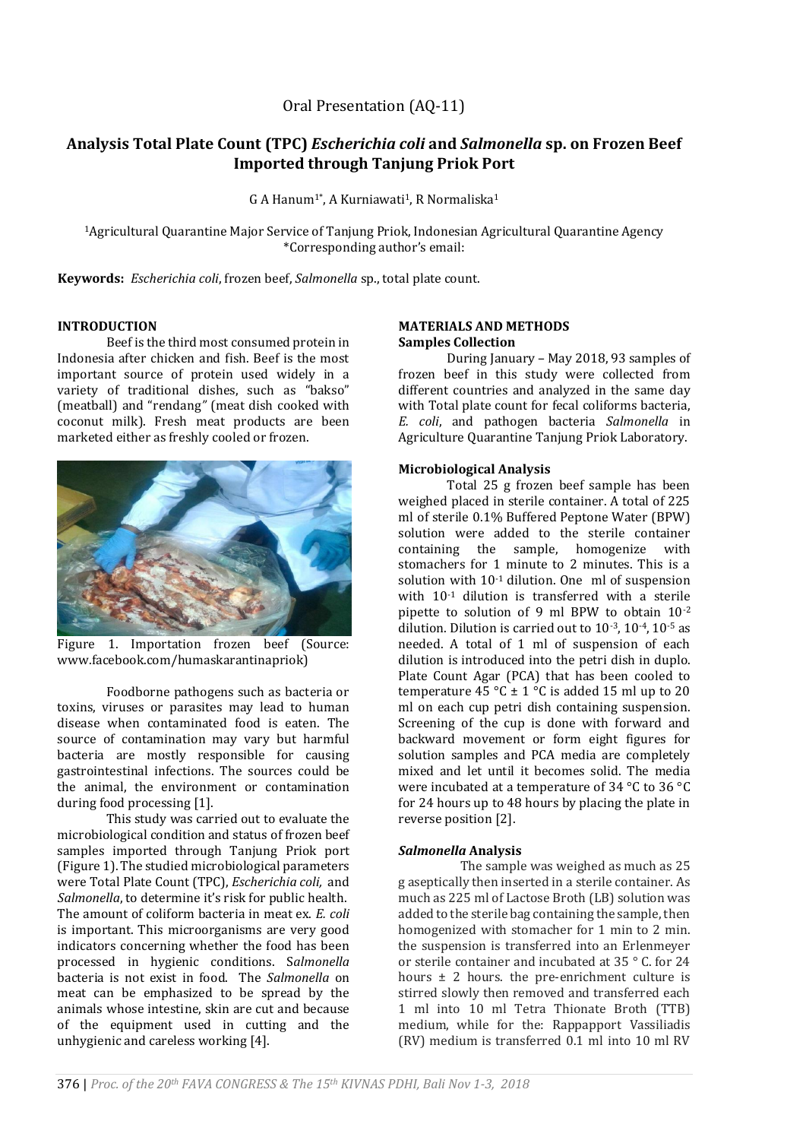# **Analysis Total Plate Count (TPC)** *Escherichia coli* **and** *Salmonella* **sp. on Frozen Beef Imported through Tanjung Priok Port**

G A Hanum<sup>1\*</sup>, A Kurniawati<sup>1</sup>, R Normaliska<sup>1</sup>

<sup>1</sup>Agricultural Quarantine Major Service of Tanjung Priok, Indonesian Agricultural Quarantine Agency \*Corresponding author's email:

**Keywords:** *Escherichia coli*, frozen beef, *Salmonella* sp., total plate count.

#### **INTRODUCTION**

Beef is the third most consumed protein in Indonesia after chicken and fish. Beef is the most important source of protein used widely in a variety of traditional dishes, such as "bakso" (meatball) and "rendang*"* (meat dish cooked with coconut milk). Fresh meat products are been marketed either as freshly cooled or frozen.



Figure 1. Importation frozen beef (Source: www.facebook.com/humaskarantinapriok)

Foodborne pathogens such as bacteria or toxins, viruses or parasites may lead to human disease when contaminated food is eaten. The source of contamination may vary but harmful bacteria are mostly responsible for causing gastrointestinal infections. The sources could be the animal, the environment or contamination during food processing [1].

This study was carried out to evaluate the microbiological condition and status of frozen beef samples imported through Tanjung Priok port (Figure 1). The studied microbiological parameters were Total Plate Count (TPC), *Escherichia coli,* and *Salmonella*, to determine it's risk for public health. The amount of coliform bacteria in meat ex. *E. coli* is important. This microorganisms are very good indicators concerning whether the food has been processed in hygienic conditions. S*almonella*  bacteria is not exist in food. The *Salmonella* on meat can be emphasized to be spread by the animals whose intestine, skin are cut and because of the equipment used in cutting and the unhygienic and careless working [4].

#### **MATERIALS AND METHODS Samples Collection**

During January – May 2018, 93 samples of frozen beef in this study were collected from different countries and analyzed in the same day with Total plate count for fecal coliforms bacteria, *E. coli*, and pathogen bacteria *Salmonella* in Agriculture Quarantine Tanjung Priok Laboratory.

#### **Microbiological Analysis**

Total 25 g frozen beef sample has been weighed placed in sterile container. A total of 225 ml of sterile 0.1% Buffered Peptone Water (BPW) solution were added to the sterile container containing the sample, homogenize with stomachers for 1 minute to 2 minutes. This is a solution with 10-1 dilution. One ml of suspension with 10-1 dilution is transferred with a sterile pipette to solution of 9 ml BPW to obtain 10-2 dilution. Dilution is carried out to 10-3, 10-4, 10-5 as needed. A total of 1 ml of suspension of each dilution is introduced into the petri dish in duplo. Plate Count Agar (PCA) that has been cooled to temperature 45 °C  $\pm$  1 °C is added 15 ml up to 20 ml on each cup petri dish containing suspension. Screening of the cup is done with forward and backward movement or form eight figures for solution samples and PCA media are completely mixed and let until it becomes solid. The media were incubated at a temperature of 34 °C to 36 °C for 24 hours up to 48 hours by placing the plate in reverse position [2].

### *Salmonella* **Analysis**

The sample was weighed as much as 25 g aseptically then inserted in a sterile container. As much as 225 ml of Lactose Broth (LB) solution was added to the sterile bag containing the sample, then homogenized with stomacher for 1 min to 2 min. the suspension is transferred into an Erlenmeyer or sterile container and incubated at 35 ° C. for 24 hours  $\pm$  2 hours. the pre-enrichment culture is stirred slowly then removed and transferred each 1 ml into 10 ml Tetra Thionate Broth (TTB) medium, while for the: Rappapport Vassiliadis (RV) medium is transferred 0.1 ml into 10 ml RV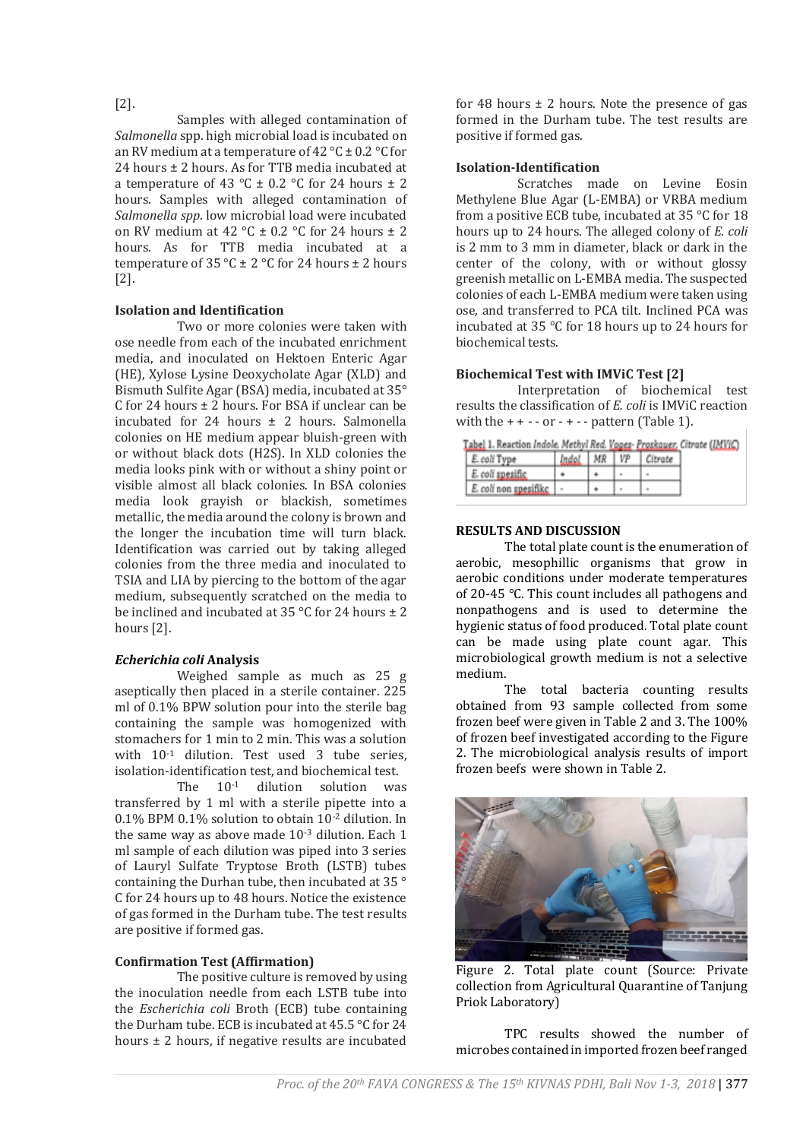# [2].

Samples with alleged contamination of *Salmonella* spp. high microbial load is incubated on an RV medium at a temperature of 42  $^{\circ}$ C ± 0.2  $^{\circ}$ C for 24 hours  $\pm$  2 hours. As for TTB media incubated at a temperature of 43 °C  $\pm$  0.2 °C for 24 hours  $\pm$  2 hours. Samples with alleged contamination of *Salmonella spp*. low microbial load were incubated on RV medium at 42 °C  $\pm$  0.2 °C for 24 hours  $\pm$  2 hours. As for TTB media incubated at a temperature of  $35^{\circ}$ C ± 2  $^{\circ}$ C for 24 hours ± 2 hours [2].

### **Isolation and Identification**

Two or more colonies were taken with ose needle from each of the incubated enrichment media, and inoculated on Hektoen Enteric Agar (HE), Xylose Lysine Deoxycholate Agar (XLD) and Bismuth Sulfite Agar (BSA) media, incubated at 35° C for 24 hours  $\pm$  2 hours. For BSA if unclear can be incubated for 24 hours  $\pm$  2 hours. Salmonella colonies on HE medium appear bluish-green with or without black dots (H2S). In XLD colonies the media looks pink with or without a shiny point or visible almost all black colonies. In BSA colonies media look grayish or blackish, sometimes metallic, the media around the colony is brown and the longer the incubation time will turn black. Identification was carried out by taking alleged colonies from the three media and inoculated to TSIA and LIA by piercing to the bottom of the agar medium, subsequently scratched on the media to be inclined and incubated at  $35^{\circ}$ C for 24 hours  $\pm 2$ hours [2].

### *Echerichia coli* **Analysis**

Weighed sample as much as 25 g aseptically then placed in a sterile container. 225 ml of 0.1% BPW solution pour into the sterile bag containing the sample was homogenized with stomachers for 1 min to 2 min. This was a solution with  $10^{-1}$  dilution. Test used 3 tube series, isolation-identification test, and biochemical test.

The 10<sup>-1</sup> dilution solution was transferred by 1 ml with a sterile pipette into a 0.1% BPM 0.1% solution to obtain 10-2 dilution. In the same way as above made 10-3 dilution. Each 1 ml sample of each dilution was piped into 3 series of Lauryl Sulfate Tryptose Broth (LSTB) tubes containing the Durhan tube, then incubated at 35 ° C for 24 hours up to 48 hours. Notice the existence of gas formed in the Durham tube. The test results are positive if formed gas.

# **Confirmation Test (Affirmation)**

The positive culture is removed by using the inoculation needle from each LSTB tube into the *Escherichia coli* Broth (ECB) tube containing the Durham tube. ECB is incubated at 45.5 °C for 24 hours  $\pm$  2 hours, if negative results are incubated

for 48 hours  $\pm$  2 hours. Note the presence of gas formed in the Durham tube. The test results are positive if formed gas.

### **Isolation-Identification**

Scratches made on Levine Eosin Methylene Blue Agar (L-EMBA) or VRBA medium from a positive ECB tube, incubated at 35 °C for 18 hours up to 24 hours. The alleged colony of *E. coli* is 2 mm to 3 mm in diameter, black or dark in the center of the colony, with or without glossy greenish metallic on L-EMBA media. The suspected colonies of each L-EMBA medium were taken using ose, and transferred to PCA tilt. Inclined PCA was incubated at 35 °C for 18 hours up to 24 hours for biochemical tests.

### **Biochemical Test with IMViC Test [2]**

Interpretation of biochemical test results the classification of *E. coli* is IMViC reaction with the  $++--$  or  $-+-$  pattern (Table 1).

| Tabel 1. Reaction Indole. Methyl Red. Voges- Proskauer, Citrate (IMVIC) |                       |            |  |      |         |  |  |  |  |  |
|-------------------------------------------------------------------------|-----------------------|------------|--|------|---------|--|--|--|--|--|
|                                                                         | $E$ . coli Type       | Indol   MR |  | 1 VP | Citrate |  |  |  |  |  |
|                                                                         | $E$ coli spesific     |            |  |      |         |  |  |  |  |  |
|                                                                         | E. coli non spesifikc |            |  |      |         |  |  |  |  |  |

# **RESULTS AND DISCUSSION**

The total plate count is the enumeration of aerobic, mesophillic organisms that grow in aerobic conditions under moderate temperatures of 20-45 °C. This count includes all pathogens and nonpathogens and is used to determine the hygienic status of food produced. Total plate count can be made using plate count agar. This microbiological growth medium is not a selective medium.

The total bacteria counting results obtained from 93 sample collected from some frozen beef were given in Table 2 and 3. The 100% of frozen beef investigated according to the Figure 2. The microbiological analysis results of import frozen beefs were shown in Table 2.



Figure 2. Total plate count (Source: Private collection from Agricultural Quarantine of Tanjung Priok Laboratory)

TPC results showed the number of microbes contained in imported frozen beef ranged